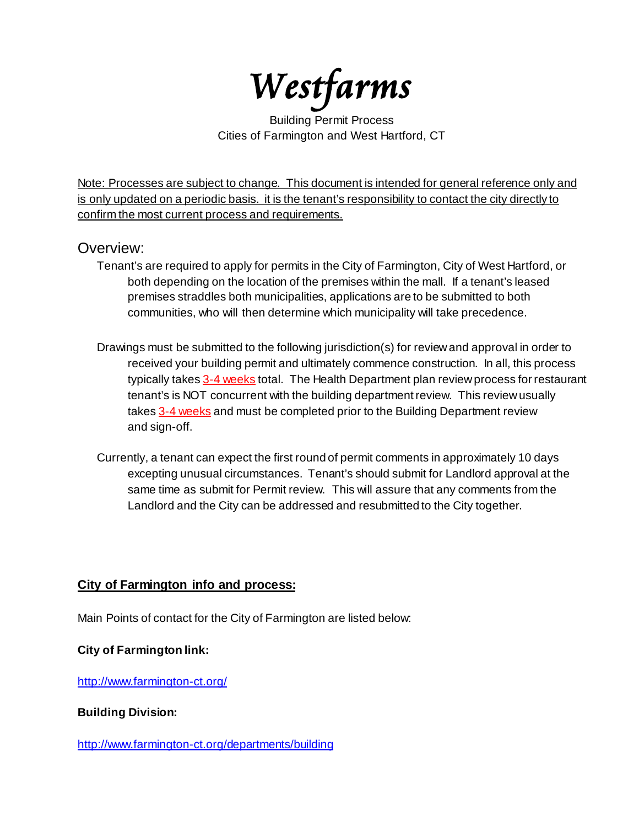Westfarms

Building Permit Process Cities of Farmington and West Hartford, CT

Note: Processes are subject to change. This document is intended for general reference only and is only updated on a periodic basis. it is the tenant's responsibility to contact the city directly to confirm the most current process and requirements.

# Overview:

- Tenant's are required to apply for permits in the City of Farmington, City of West Hartford, or both depending on the location of the premises within the mall. If a tenant's leased premises straddles both municipalities, applications are to be submitted to both communities, who will then determine which municipality will take precedence.
- Drawings must be submitted to the following jurisdiction(s) for review and approval in order to received your building permit and ultimately commence construction. In all, this process typically takes 3-4 weeks total. The Health Department plan review process for restaurant tenant's is NOT concurrent with the building department review. This review usually takes 3-4 weeks and must be completed prior to the Building Department review and sign-off.
- Currently, a tenant can expect the first round of permit comments in approximately 10 days excepting unusual circumstances. Tenant's should submit for Landlord approval at the same time as submit for Permit review. This will assure that any comments from the Landlord and the City can be addressed and resubmitted to the City together.

## **City of Farmington info and process:**

Main Points of contact for the City of Farmington are listed below:

## **City of Farmington link:**

<http://www.farmington-ct.org/>

## **Building Division:**

<http://www.farmington-ct.org/departments/building>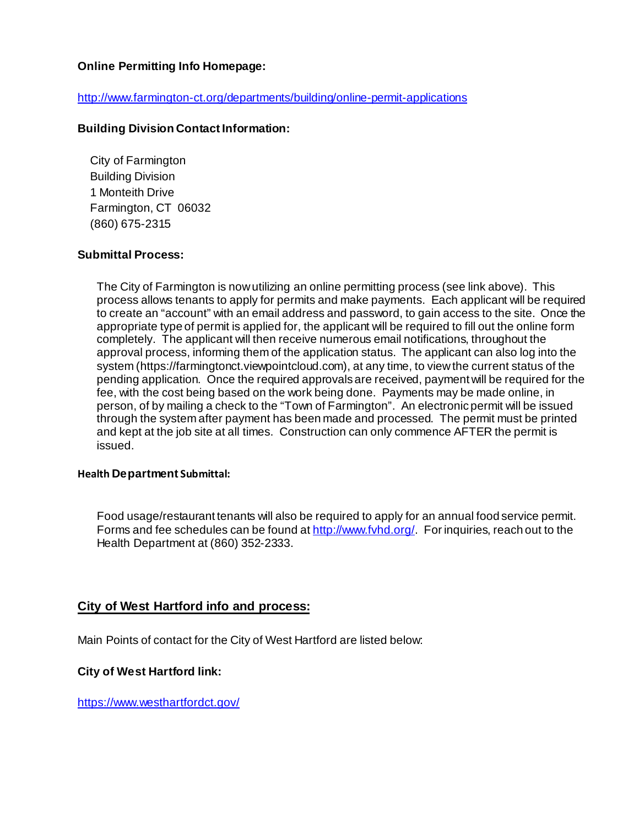## **Online Permitting Info Homepage:**

### <http://www.farmington-ct.org/departments/building/online-permit-applications>

### **Building Division Contact Information:**

City of Farmington Building Division 1 Monteith Drive Farmington, CT 06032 (860) 675-2315

### **Submittal Process:**

The City of Farmington is now utilizing an online permitting process (see link above). This process allows tenants to apply for permits and make payments. Each applicant will be required to create an "account" with an email address and password, to gain access to the site. Once the appropriate type of permit is applied for, the applicant will be required to fill out the online form completely. The applicant will then receive numerous email notifications, throughout the approval process, informing them of the application status. The applicant can also log into the system (https://farmingtonct.viewpointcloud.com), at any time, to view the current status of the pending application. Once the required approvals are received, payment will be required for the fee, with the cost being based on the work being done. Payments may be made online, in person, of by mailing a check to the "Town of Farmington". An electronic permit will be issued through the system after payment has been made and processed. The permit must be printed and kept at the job site at all times. Construction can only commence AFTER the permit is issued.

#### **Health Department Submittal:**

Food usage/restaurant tenants will also be required to apply for an annual food service permit. Forms and fee schedules can be found at http://www.fyhd.org/. For inquiries, reach out to the Health Department at (860) 352-2333.

### **City of West Hartford info and process:**

Main Points of contact for the City of West Hartford are listed below:

#### **City of West Hartford link:**

<https://www.westhartfordct.gov/>